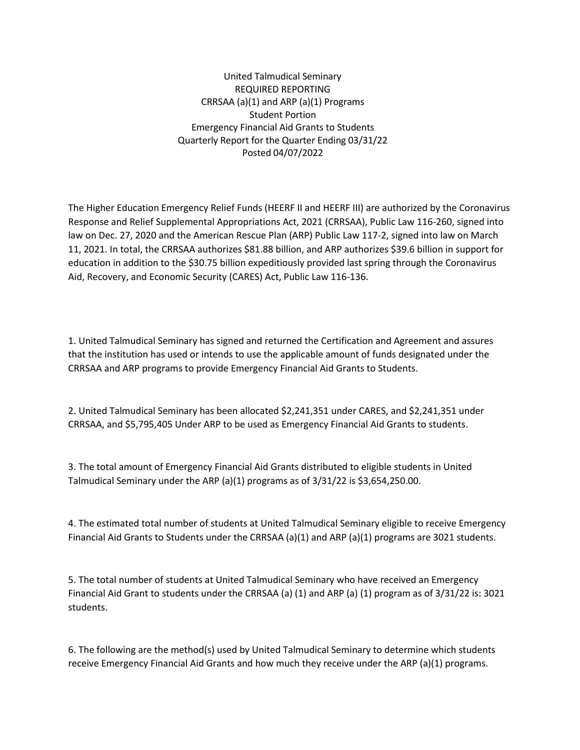United Talmudical Seminary REQUIRED REPORTING CRRSAA (a)(1) and ARP (a)(1) Programs Student Portion Emergency Financial Aid Grants to Students Quarterly Report for the Quarter Ending 03/31/22 Posted 04/07/2022

The Higher Education Emergency Relief Funds (HEERF II and HEERF III) are authorized by the Coronavirus Response and Relief Supplemental Appropriations Act, 2021 (CRRSAA), Public Law 116-260, signed into law on Dec. 27, 2020 and the American Rescue Plan (ARP) Public Law 117-2, signed into law on March 11, 2021. In total, the CRRSAA authorizes \$81.88 billion, and ARP authorizes \$39.6 billion in support for education in addition to the \$30.75 billion expeditiously provided last spring through the Coronavirus Aid, Recovery, and Economic Security (CARES) Act, Public Law 116-136.

1. United Talmudical Seminary has signed and returned the Certification and Agreement and assures that the institution has used or intends to use the applicable amount of funds designated under the CRRSAA and ARP programs to provide Emergency Financial Aid Grants to Students.

2. United Talmudical Seminary has been allocated \$2,241,351 under CARES, and \$2,241,351 under CRRSAA, and \$5,795,405 Under ARP to be used as Emergency Financial Aid Grants to students.

3. The total amount of Emergency Financial Aid Grants distributed to eligible students in United Talmudical Seminary under the ARP (a)(1) programs as of 3/31/22 is \$3,654,250.00.

4. The estimated total number of students at United Talmudical Seminary eligible to receive Emergency Financial Aid Grants to Students under the CRRSAA (a)(1) and ARP (a)(1) programs are 3021 students.

5. The total number of students at United Talmudical Seminary who have received an Emergency Financial Aid Grant to students under the CRRSAA (a) (1) and ARP (a) (1) program as of 3/31/22 is: 3021 students.

6. The following are the method(s) used by United Talmudical Seminary to determine which students receive Emergency Financial Aid Grants and how much they receive under the ARP (a)(1) programs.